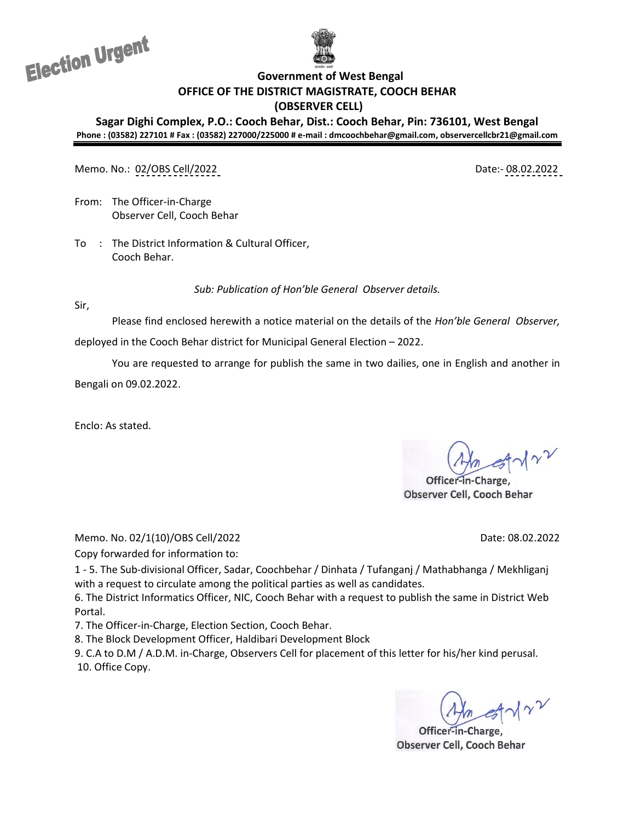Election Urgent



**Government of West Bengal**

**OFFICE OF THE DISTRICT MAGISTRATE, COOCH BEHAR**

**(OBSERVER CELL)**

**Sagar Dighi Complex, P.O.: Cooch Behar, Dist.: Cooch Behar, Pin: 736101, West Bengal Phone : (03582) 227101 # Fax : (03582) 227000/225000 # e-mail : dmcoochbehar@gmail.com, observercellcbr21@gmail.com**

Memo. No.: 02/OBS Cell/2022 Date:- 08.02.2022

From: The Officer-in-Charge Observer Cell, Cooch Behar

To : The District Information & Cultural Officer, Cooch Behar.

*Sub: Publication of Hon'ble General Observer details.*

Sir,

Please find enclosed herewith a notice material on the details of the *Hon'ble General Observer,*  deployed in the Cooch Behar district for Municipal General Election – 2022.

You are requested to arrange for publish the same in two dailies, one in English and another in

Bengali on 09.02.2022.

Enclo: As stated.

Officer-in-Charge, Observer Cell, Cooch Behar

Memo. No. 02/1(10)/OBS Cell/2022 Date: 08.02.2022

Copy forwarded for information to:

1 - 5. The Sub-divisional Officer, Sadar, Coochbehar / Dinhata / Tufanganj / Mathabhanga / Mekhliganj with a request to circulate among the political parties as well as candidates.

6. The District Informatics Officer, NIC, Cooch Behar with a request to publish the same in District Web Portal.

7. The Officer-in-Charge, Election Section, Cooch Behar.

8. The Block Development Officer, Haldibari Development Block

9. C.A to D.M / A.D.M. in-Charge, Observers Cell for placement of this letter for his/her kind perusal. 10. Office Copy.

**Observer Cell, Cooch Behar**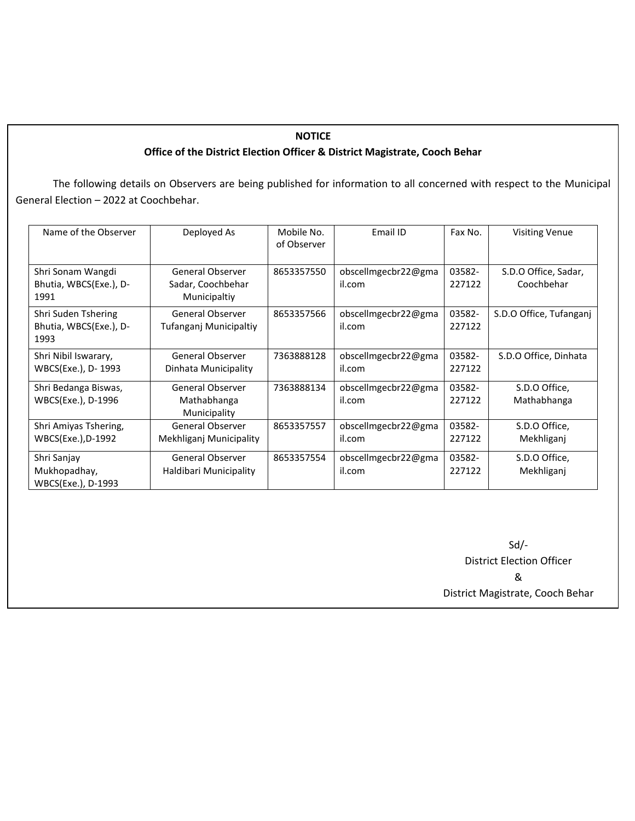## **NOTICE Office of the District Election Officer & District Magistrate, Cooch Behar**

The following details on Observers are being published for information to all concerned with respect to the Municipal General Election – 2022 at Coochbehar.

| Name of the Observer                                  | Deployed As                                           | Mobile No.<br>of Observer | Email ID                      | Fax No.          | <b>Visiting Venue</b>              |
|-------------------------------------------------------|-------------------------------------------------------|---------------------------|-------------------------------|------------------|------------------------------------|
| Shri Sonam Wangdi<br>Bhutia, WBCS(Exe.), D-<br>1991   | General Observer<br>Sadar, Coochbehar<br>Municipaltiy | 8653357550                | obscellmgecbr22@gma<br>il.com | 03582-<br>227122 | S.D.O Office, Sadar,<br>Coochbehar |
| Shri Suden Tshering<br>Bhutia, WBCS(Exe.), D-<br>1993 | General Observer<br>Tufanganj Municipaltiy            | 8653357566                | obscellmgecbr22@gma<br>il.com | 03582-<br>227122 | S.D.O Office, Tufanganj            |
| Shri Nibil Iswarary,<br>WBCS(Exe.), D- 1993           | General Observer<br>Dinhata Municipality              | 7363888128                | obscellmgecbr22@gma<br>il.com | 03582-<br>227122 | S.D.O Office, Dinhata              |
| Shri Bedanga Biswas,<br>WBCS(Exe.), D-1996            | General Observer<br>Mathabhanga<br>Municipality       | 7363888134                | obscellmgecbr22@gma<br>il.com | 03582-<br>227122 | S.D.O Office,<br>Mathabhanga       |
| Shri Amiyas Tshering,<br>WBCS(Exe.),D-1992            | General Observer<br>Mekhliganj Municipality           | 8653357557                | obscellmgecbr22@gma<br>il.com | 03582-<br>227122 | S.D.O Office,<br>Mekhliganj        |
| Shri Sanjay<br>Mukhopadhay,<br>WBCS(Exe.), D-1993     | General Observer<br>Haldibari Municipality            | 8653357554                | obscellmgecbr22@gma<br>il.com | 03582-<br>227122 | S.D.O Office,<br>Mekhliganj        |

Sd/- District Election Officer & District Magistrate, Cooch Behar